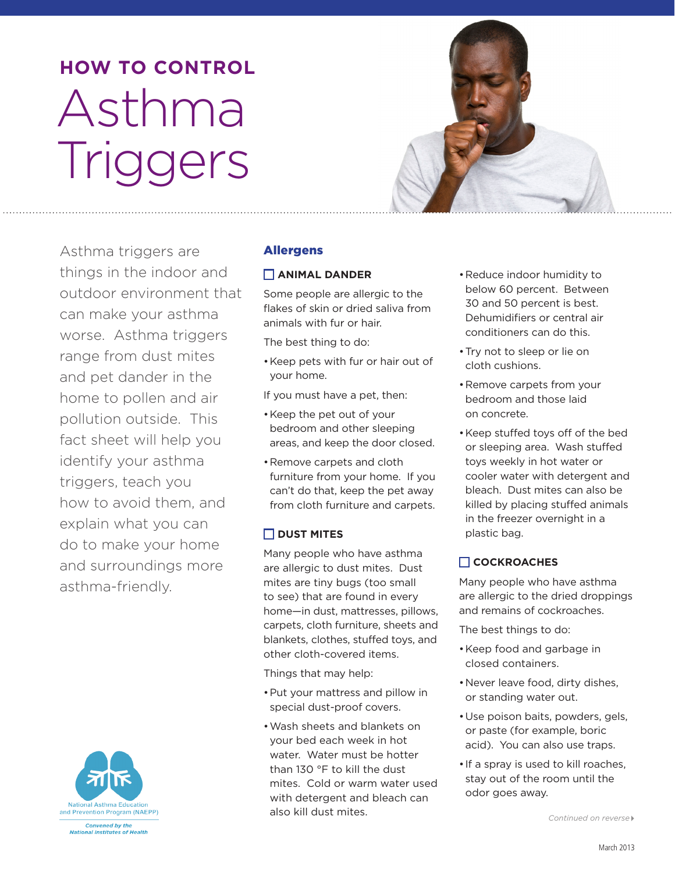# **how to CoNtRoL**  Asthma **Triggers**



Asthma triggers are things in the indoor and outdoor environment that can make your asthma worse. Asthma triggers range from dust mites and pet dander in the home to pollen and air pollution outside. This fact sheet will help you identify your asthma triggers, teach you how to avoid them, and explain what you can do to make your home and surroundings more asthma-friendly.



#### Allergens

#### **aNIMaL DaNDeR**

Some people are allergic to the flakes of skin or dried saliva from animals with fur or hair.

The best thing to do:

•Keep pets with fur or hair out of your home.

If you must have a pet, then:

- •Keep the pet out of your bedroom and other sleeping areas, and keep the door closed.
- •Remove carpets and cloth furniture from your home. If you can't do that, keep the pet away from cloth furniture and carpets.

# **Dust MItes**

Many people who have asthma are allergic to dust mites. Dust mites are tiny bugs (too small to see) that are found in every home—in dust, mattresses, pillows, carpets, cloth furniture, sheets and blankets, clothes, stuffed toys, and other cloth-covered items.

Things that may help:

- •Put your mattress and pillow in special dust-proof covers.
- •Wash sheets and blankets on your bed each week in hot water. Water must be hotter than 130 °F to kill the dust mites. Cold or warm water used with detergent and bleach can also kill dust mites.
- 30 and 50 percent is best. Dehumidifiers or central air •Reduce indoor humidity to below 60 percent. Between conditioners can do this.
- •Try not to sleep or lie on cloth cushions.
- •Remove carpets from your bedroom and those laid on concrete.
- •Keep stuffed toys off of the bed or sleeping area. Wash stuffed toys weekly in hot water or cooler water with detergent and bleach. Dust mites can also be killed by placing stuffed animals in the freezer overnight in a plastic bag.

# **CoCKRoaChes**

Many people who have asthma are allergic to the dried droppings and remains of cockroaches.

The best things to do:

- •Keep food and garbage in closed containers.
- •Never leave food, dirty dishes, or standing water out.
- •Use poison baits, powders, gels, or paste (for example, boric acid). You can also use traps.
- •If a spray is used to kill roaches, stay out of the room until the odor goes away.